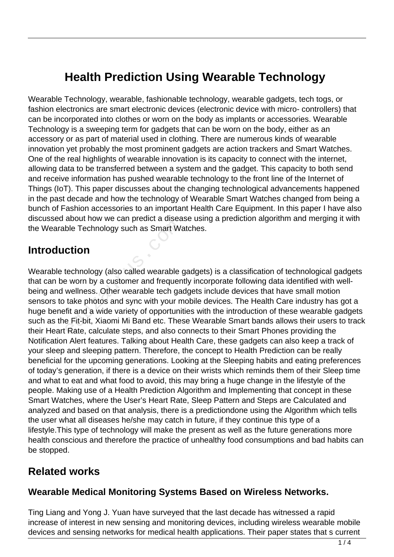# **Health Prediction Using Wearable Technology**

Wearable Technology, wearable, fashionable technology, wearable gadgets, tech togs, or fashion electronics are smart electronic devices (electronic device with micro- controllers) that can be incorporated into clothes or worn on the body as implants or accessories. Wearable Technology is a sweeping term for gadgets that can be worn on the body, either as an accessory or as part of material used in clothing. There are numerous kinds of wearable innovation yet probably the most prominent gadgets are action trackers and Smart Watches. One of the real highlights of wearable innovation is its capacity to connect with the internet, allowing data to be transferred between a system and the gadget. This capacity to both send and receive information has pushed wearable technology to the front line of the Internet of Things (IoT). This paper discusses about the changing technological advancements happened in the past decade and how the technology of Wearable Smart Watches changed from being a bunch of Fashion accessories to an important Health Care Equipment. In this paper I have also discussed about how we can predict a disease using a prediction algorithm and merging it with the Wearable Technology such as Smart Watches.

#### **Introduction**

Wearable technology (also called wearable gadgets) is a classification of technological gadgets that can be worn by a customer and frequently incorporate following data identified with wellbeing and wellness. Other wearable tech gadgets include devices that have small motion sensors to take photos and sync with your mobile devices. The Health Care industry has got a huge benefit and a wide variety of opportunities with the introduction of these wearable gadgets such as the Fit-bit, Xiaomi Mi Band etc. These Wearable Smart bands allows their users to track their Heart Rate, calculate steps, and also connects to their Smart Phones providing the Notification Alert features. Talking about Health Care, these gadgets can also keep a track of your sleep and sleeping pattern. Therefore, the concept to Health Prediction can be really beneficial for the upcoming generations. Looking at the Sleeping habits and eating preferences of today's generation, if there is a device on their wrists which reminds them of their Sleep time and what to eat and what food to avoid, this may bring a huge change in the lifestyle of the people. Making use of a Health Prediction Algorithm and Implementing that concept in these Smart Watches, where the User's Heart Rate, Sleep Pattern and Steps are Calculated and analyzed and based on that analysis, there is a predictiondone using the Algorithm which tells the user what all diseases he/she may catch in future, if they continue this type of a lifestyle.This type of technology will make the present as well as the future generations more health conscious and therefore the practice of unhealthy food consumptions and bad habits can be stopped. ble Technology such as Smart Wa<br> **ction**<br>
technology (also called wearable is<br>
worn by a customer and frequen<br>
wellness. Other wearable tech ga<br>
take photos and sync with your m<br>
fit and a wide variety of opportunine<br>
Fit-

#### **Related works**

#### **Wearable Medical Monitoring Systems Based on Wireless Networks.**

Ting Liang and Yong J. Yuan have surveyed that the last decade has witnessed a rapid increase of interest in new sensing and monitoring devices, including wireless wearable mobile devices and sensing networks for medical health applications. Their paper states that s current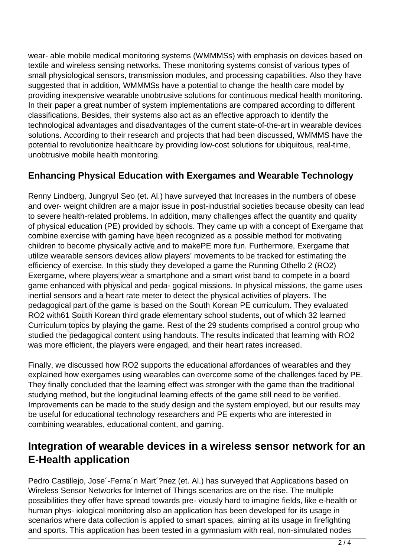wear- able mobile medical monitoring systems (WMMMSs) with emphasis on devices based on textile and wireless sensing networks. These monitoring systems consist of various types of small physiological sensors, transmission modules, and processing capabilities. Also they have suggested that in addition, WMMMSs have a potential to change the health care model by providing inexpensive wearable unobtrusive solutions for continuous medical health monitoring. In their paper a great number of system implementations are compared according to different classifications. Besides, their systems also act as an effective approach to identify the technological advantages and disadvantages of the current state-of-the-art in wearable devices solutions. According to their research and projects that had been discussed, WMMMS have the potential to revolutionize healthcare by providing low-cost solutions for ubiquitous, real-time, unobtrusive mobile health monitoring.

#### **Enhancing Physical Education with Exergames and Wearable Technology**

Renny Lindberg, Jungryul Seo (et. Al.) have surveyed that Increases in the numbers of obese and over- weight children are a major issue in post-industrial societies because obesity can lead to severe health-related problems. In addition, many challenges affect the quantity and quality of physical education (PE) provided by schools. They came up with a concept of Exergame that combine exercise with gaming have been recognized as a possible method for motivating children to become physically active and to makePE more fun. Furthermore, Exergame that utilize wearable sensors devices allow players' movements to be tracked for estimating the efficiency of exercise. In this study they developed a game the Running Othello 2 (RO2) Exergame, where players wear a smartphone and a smart wrist band to compete in a board game enhanced with physical and peda- gogical missions. In physical missions, the game uses inertial sensors and a heart rate meter to detect the physical activities of players. The pedagogical part of the game is based on the South Korean PE curriculum. They evaluated RO2 with61 South Korean third grade elementary school students, out of which 32 learned Curriculum topics by playing the game. Rest of the 29 students comprised a control group who studied the pedagogical content using handouts. The results indicated that learning with RO2 was more efficient, the players were engaged, and their heart rates increased. l education (PE) provided by scho<br>xercise with gaming have been re<br>become physically active and to r<br>rable sensors devices allow playe<br>of exercise. In this study they deve<br>where players wear a smartphon<br>anced with physical

Finally, we discussed how RO2 supports the educational affordances of wearables and they explained how exergames using wearables can overcome some of the challenges faced by PE. They finally concluded that the learning effect was stronger with the game than the traditional studying method, but the longitudinal learning effects of the game still need to be verified. Improvements can be made to the study design and the system employed, but our results may be useful for educational technology researchers and PE experts who are interested in combining wearables, educational content, and gaming.

## **Integration of wearable devices in a wireless sensor network for an E-Health application**

Pedro Castillejo, Jose´-Ferna´n Mart´?nez (et. Al.) has surveyed that Applications based on Wireless Sensor Networks for Internet of Things scenarios are on the rise. The multiple possibilities they offer have spread towards pre- viously hard to imagine fields, like e-health or human phys- iological monitoring also an application has been developed for its usage in scenarios where data collection is applied to smart spaces, aiming at its usage in firefighting and sports. This application has been tested in a gymnasium with real, non-simulated nodes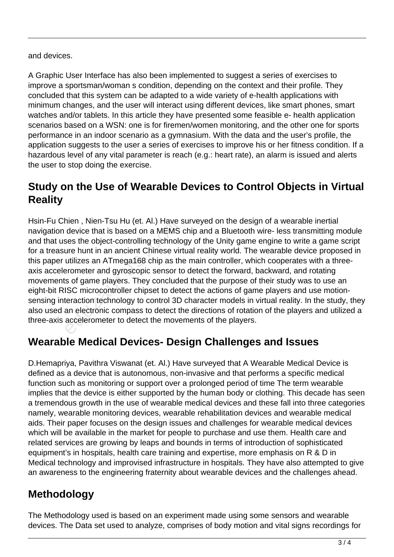and devices.

A Graphic User Interface has also been implemented to suggest a series of exercises to improve a sportsman/woman s condition, depending on the context and their profile. They concluded that this system can be adapted to a wide variety of e-health applications with minimum changes, and the user will interact using different devices, like smart phones, smart watches and/or tablets. In this article they have presented some feasible e- health application scenarios based on a WSN: one is for firemen/women monitoring, and the other one for sports performance in an indoor scenario as a gymnasium. With the data and the user's profile, the application suggests to the user a series of exercises to improve his or her fitness condition. If a hazardous level of any vital parameter is reach (e.g.: heart rate), an alarm is issued and alerts the user to stop doing the exercise.

## **Study on the Use of Wearable Devices to Control Objects in Virtual Reality**

Hsin-Fu Chien , Nien-Tsu Hu (et. Al.) Have surveyed on the design of a wearable inertial navigation device that is based on a MEMS chip and a Bluetooth wire- less transmitting module and that uses the object-controlling technology of the Unity game engine to write a game script for a treasure hunt in an ancient Chinese virtual reality world. The wearable device proposed in this paper utilizes an ATmega168 chip as the main controller, which cooperates with a threeaxis accelerometer and gyroscopic sensor to detect the forward, backward, and rotating movements of game players. They concluded that the purpose of their study was to use an eight-bit RISC microcontroller chipset to detect the actions of game players and use motionsensing interaction technology to control 3D character models in virtual reality. In the study, they also used an electronic compass to detect the directions of rotation of the players and utilized a three-axis accelerometer to detect the movements of the players. Then, Nien-180 Hd (et. Al.) Have sevention is also device that is based on a MEMS<br>ses the object-controlling technology<br>ure hunt in an ancient Chinese virtuilizes an ATmega168 chip as the<br>prometer and gyroscopic sensor to<br>

## **Wearable Medical Devices- Design Challenges and Issues**

D.Hemapriya, Pavithra Viswanat (et. Al.) Have surveyed that A Wearable Medical Device is defined as a device that is autonomous, non-invasive and that performs a specific medical function such as monitoring or support over a prolonged period of time The term wearable implies that the device is either supported by the human body or clothing. This decade has seen a tremendous growth in the use of wearable medical devices and these fall into three categories namely, wearable monitoring devices, wearable rehabilitation devices and wearable medical aids. Their paper focuses on the design issues and challenges for wearable medical devices which will be available in the market for people to purchase and use them. Health care and related services are growing by leaps and bounds in terms of introduction of sophisticated equipment's in hospitals, health care training and expertise, more emphasis on R & D in Medical technology and improvised infrastructure in hospitals. They have also attempted to give an awareness to the engineering fraternity about wearable devices and the challenges ahead.

# **Methodology**

The Methodology used is based on an experiment made using some sensors and wearable devices. The Data set used to analyze, comprises of body motion and vital signs recordings for